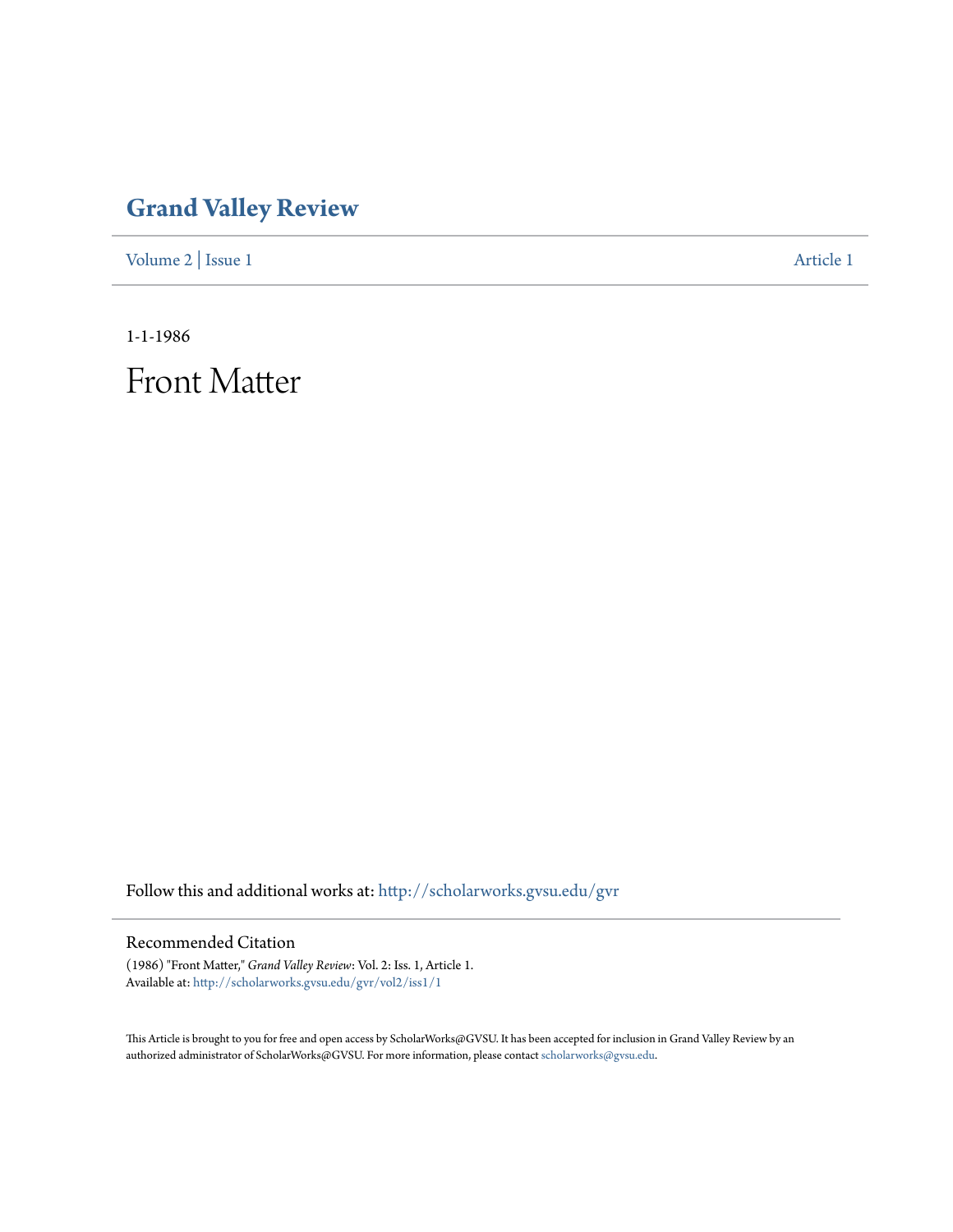## **[Grand Valley Review](http://scholarworks.gvsu.edu/gvr?utm_source=scholarworks.gvsu.edu%2Fgvr%2Fvol2%2Fiss1%2F1&utm_medium=PDF&utm_campaign=PDFCoverPages)**

[Volume 2](http://scholarworks.gvsu.edu/gvr/vol2?utm_source=scholarworks.gvsu.edu%2Fgvr%2Fvol2%2Fiss1%2F1&utm_medium=PDF&utm_campaign=PDFCoverPages) | [Issue 1](http://scholarworks.gvsu.edu/gvr/vol2/iss1?utm_source=scholarworks.gvsu.edu%2Fgvr%2Fvol2%2Fiss1%2F1&utm_medium=PDF&utm_campaign=PDFCoverPages) [Article 1](http://scholarworks.gvsu.edu/gvr/vol2/iss1/1?utm_source=scholarworks.gvsu.edu%2Fgvr%2Fvol2%2Fiss1%2F1&utm_medium=PDF&utm_campaign=PDFCoverPages)

1-1-1986

Front Matter

Follow this and additional works at: [http://scholarworks.gvsu.edu/gvr](http://scholarworks.gvsu.edu/gvr?utm_source=scholarworks.gvsu.edu%2Fgvr%2Fvol2%2Fiss1%2F1&utm_medium=PDF&utm_campaign=PDFCoverPages)

## Recommended Citation

(1986) "Front Matter," *Grand Valley Review*: Vol. 2: Iss. 1, Article 1. Available at: [http://scholarworks.gvsu.edu/gvr/vol2/iss1/1](http://scholarworks.gvsu.edu/gvr/vol2/iss1/1?utm_source=scholarworks.gvsu.edu%2Fgvr%2Fvol2%2Fiss1%2F1&utm_medium=PDF&utm_campaign=PDFCoverPages)

This Article is brought to you for free and open access by ScholarWorks@GVSU. It has been accepted for inclusion in Grand Valley Review by an authorized administrator of ScholarWorks@GVSU. For more information, please contact [scholarworks@gvsu.edu.](mailto:scholarworks@gvsu.edu)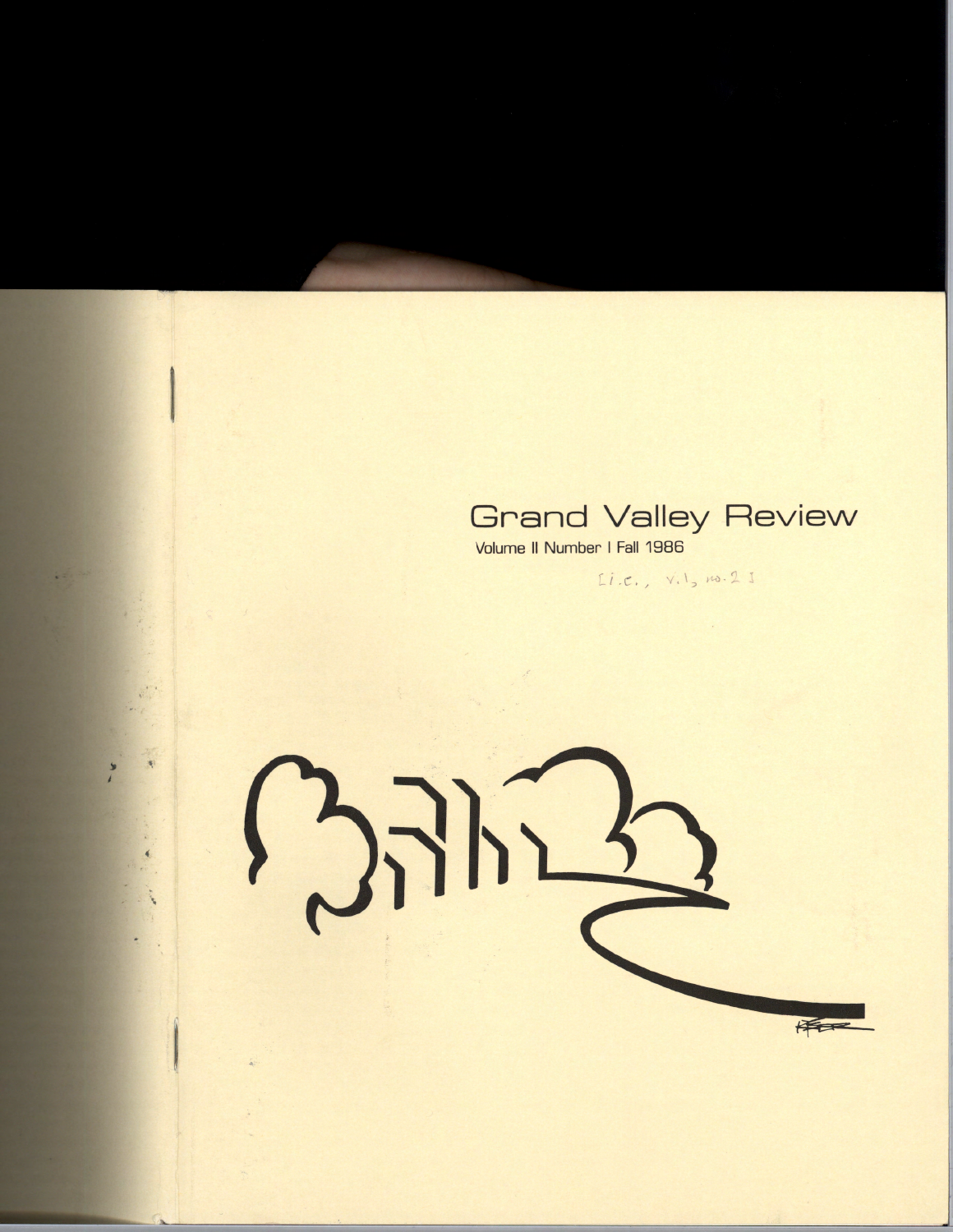

Volume II Number I Fall 1986

 $Li.c., v.1, no.21$